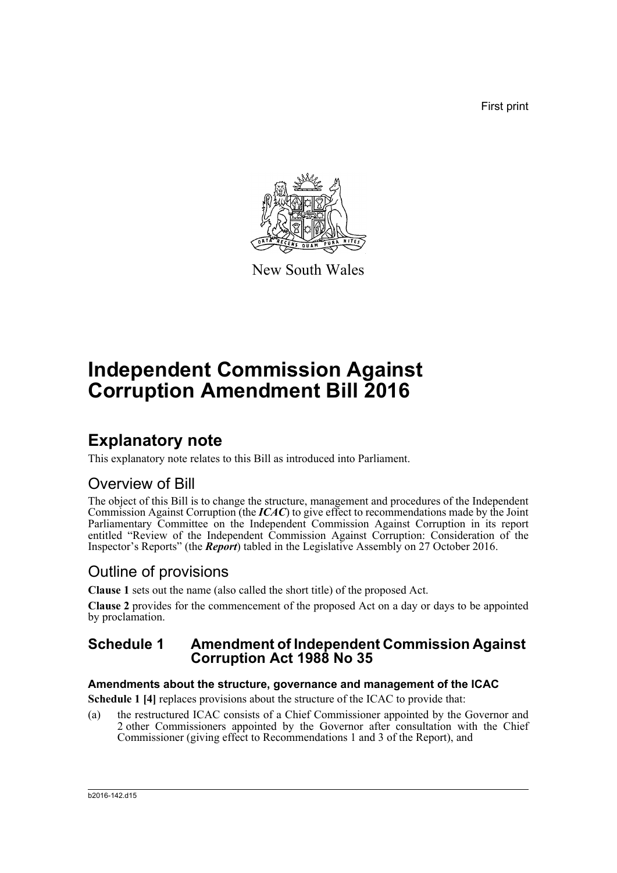First print



New South Wales

# **Independent Commission Against Corruption Amendment Bill 2016**

## **Explanatory note**

This explanatory note relates to this Bill as introduced into Parliament.

## Overview of Bill

The object of this Bill is to change the structure, management and procedures of the Independent Commission Against Corruption (the *ICAC*) to give effect to recommendations made by the Joint Parliamentary Committee on the Independent Commission Against Corruption in its report entitled "Review of the Independent Commission Against Corruption: Consideration of the Inspector's Reports" (the *Report*) tabled in the Legislative Assembly on 27 October 2016.

## Outline of provisions

**Clause 1** sets out the name (also called the short title) of the proposed Act.

**Clause 2** provides for the commencement of the proposed Act on a day or days to be appointed by proclamation.

## **Schedule 1 Amendment of Independent Commission Against Corruption Act 1988 No 35**

## **Amendments about the structure, governance and management of the ICAC**

**Schedule 1 [4] replaces provisions about the structure of the ICAC to provide that:** 

(a) the restructured ICAC consists of a Chief Commissioner appointed by the Governor and 2 other Commissioners appointed by the Governor after consultation with the Chief Commissioner (giving effect to Recommendations 1 and 3 of the Report), and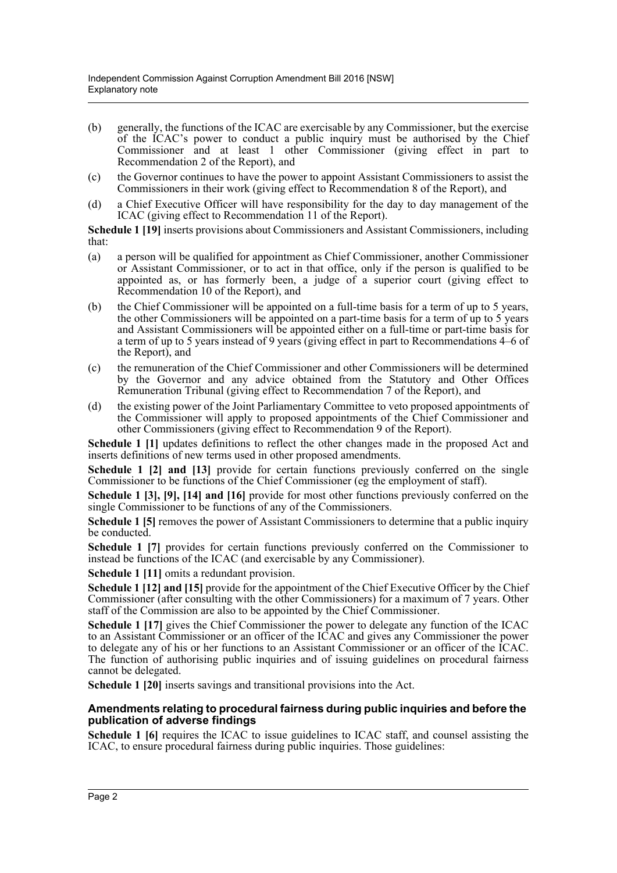- (b) generally, the functions of the ICAC are exercisable by any Commissioner, but the exercise of the ICAC's power to conduct a public inquiry must be authorised by the Chief Commissioner and at least 1 other Commissioner (giving effect in part to Recommendation 2 of the Report), and
- (c) the Governor continues to have the power to appoint Assistant Commissioners to assist the Commissioners in their work (giving effect to Recommendation 8 of the Report), and
- (d) a Chief Executive Officer will have responsibility for the day to day management of the ICAC (giving effect to Recommendation 11 of the Report).

**Schedule 1 [19]** inserts provisions about Commissioners and Assistant Commissioners, including that:

- (a) a person will be qualified for appointment as Chief Commissioner, another Commissioner or Assistant Commissioner, or to act in that office, only if the person is qualified to be appointed as, or has formerly been, a judge of a superior court (giving effect to Recommendation 10 of the Report), and
- (b) the Chief Commissioner will be appointed on a full-time basis for a term of up to 5 years, the other Commissioners will be appointed on a part-time basis for a term of up to 5 years and Assistant Commissioners will be appointed either on a full-time or part-time basis for a term of up to 5 years instead of 9 years (giving effect in part to Recommendations 4–6 of the Report), and
- (c) the remuneration of the Chief Commissioner and other Commissioners will be determined by the Governor and any advice obtained from the Statutory and Other Offices Remuneration Tribunal (giving effect to Recommendation 7 of the Report), and
- (d) the existing power of the Joint Parliamentary Committee to veto proposed appointments of the Commissioner will apply to proposed appointments of the Chief Commissioner and other Commissioners (giving effect to Recommendation 9 of the Report).

Schedule 1 [1] updates definitions to reflect the other changes made in the proposed Act and inserts definitions of new terms used in other proposed amendments.

**Schedule 1 [2] and [13]** provide for certain functions previously conferred on the single Commissioner to be functions of the Chief Commissioner (eg the employment of staff).

**Schedule 1 [3], [9], [14] and [16]** provide for most other functions previously conferred on the single Commissioner to be functions of any of the Commissioners.

**Schedule 1 [5]** removes the power of Assistant Commissioners to determine that a public inquiry be conducted.

**Schedule 1 [7]** provides for certain functions previously conferred on the Commissioner to instead be functions of the ICAC (and exercisable by any Commissioner).

**Schedule 1 [11]** omits a redundant provision.

**Schedule 1 [12] and [15]** provide for the appointment of the Chief Executive Officer by the Chief Commissioner (after consulting with the other Commissioners) for a maximum of 7 years. Other staff of the Commission are also to be appointed by the Chief Commissioner.

**Schedule 1 [17]** gives the Chief Commissioner the power to delegate any function of the ICAC to an Assistant Commissioner or an officer of the ICAC and gives any Commissioner the power to delegate any of his or her functions to an Assistant Commissioner or an officer of the ICAC. The function of authorising public inquiries and of issuing guidelines on procedural fairness cannot be delegated.

**Schedule 1 [20]** inserts savings and transitional provisions into the Act.

#### **Amendments relating to procedural fairness during public inquiries and before the publication of adverse findings**

Schedule 1 [6] requires the ICAC to issue guidelines to ICAC staff, and counsel assisting the ICAC, to ensure procedural fairness during public inquiries. Those guidelines: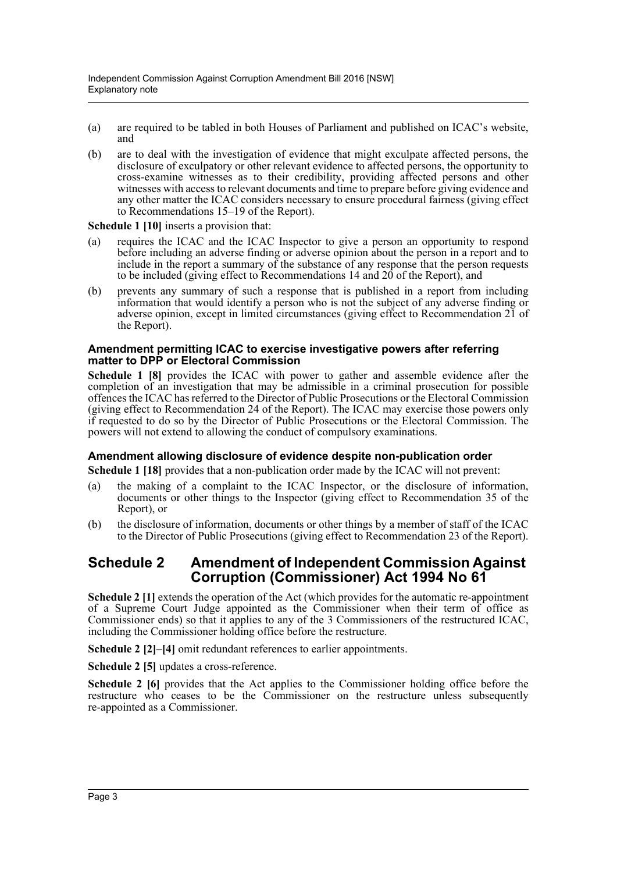- (a) are required to be tabled in both Houses of Parliament and published on ICAC's website, and
- (b) are to deal with the investigation of evidence that might exculpate affected persons, the disclosure of exculpatory or other relevant evidence to affected persons, the opportunity to cross-examine witnesses as to their credibility, providing affected persons and other witnesses with access to relevant documents and time to prepare before giving evidence and any other matter the ICAC considers necessary to ensure procedural fairness (giving effect to Recommendations 15–19 of the Report).

#### **Schedule 1 [10]** inserts a provision that:

- (a) requires the ICAC and the ICAC Inspector to give a person an opportunity to respond before including an adverse finding or adverse opinion about the person in a report and to include in the report a summary of the substance of any response that the person requests to be included (giving effect to Recommendations 14 and 20 of the Report), and
- (b) prevents any summary of such a response that is published in a report from including information that would identify a person who is not the subject of any adverse finding or adverse opinion, except in limited circumstances (giving effect to Recommendation 21 of the Report).

#### **Amendment permitting ICAC to exercise investigative powers after referring matter to DPP or Electoral Commission**

**Schedule 1 [8]** provides the ICAC with power to gather and assemble evidence after the completion of an investigation that may be admissible in a criminal prosecution for possible offences the ICAC has referred to the Director of Public Prosecutions or the Electoral Commission (giving effect to Recommendation 24 of the Report). The ICAC may exercise those powers only if requested to do so by the Director of Public Prosecutions or the Electoral Commission. The powers will not extend to allowing the conduct of compulsory examinations.

#### **Amendment allowing disclosure of evidence despite non-publication order**

**Schedule 1 [18]** provides that a non-publication order made by the ICAC will not prevent:

- (a) the making of a complaint to the ICAC Inspector, or the disclosure of information, documents or other things to the Inspector (giving effect to Recommendation 35 of the Report), or
- (b) the disclosure of information, documents or other things by a member of staff of the ICAC to the Director of Public Prosecutions (giving effect to Recommendation 23 of the Report).

### **Schedule 2 Amendment of Independent Commission Against Corruption (Commissioner) Act 1994 No 61**

**Schedule 2 [1]** extends the operation of the Act (which provides for the automatic re-appointment of a Supreme Court Judge appointed as the Commissioner when their term of office as Commissioner ends) so that it applies to any of the 3 Commissioners of the restructured ICAC, including the Commissioner holding office before the restructure.

**Schedule 2 [2]–[4]** omit redundant references to earlier appointments.

**Schedule 2 [5]** updates a cross-reference.

**Schedule 2 [6]** provides that the Act applies to the Commissioner holding office before the restructure who ceases to be the Commissioner on the restructure unless subsequently re-appointed as a Commissioner.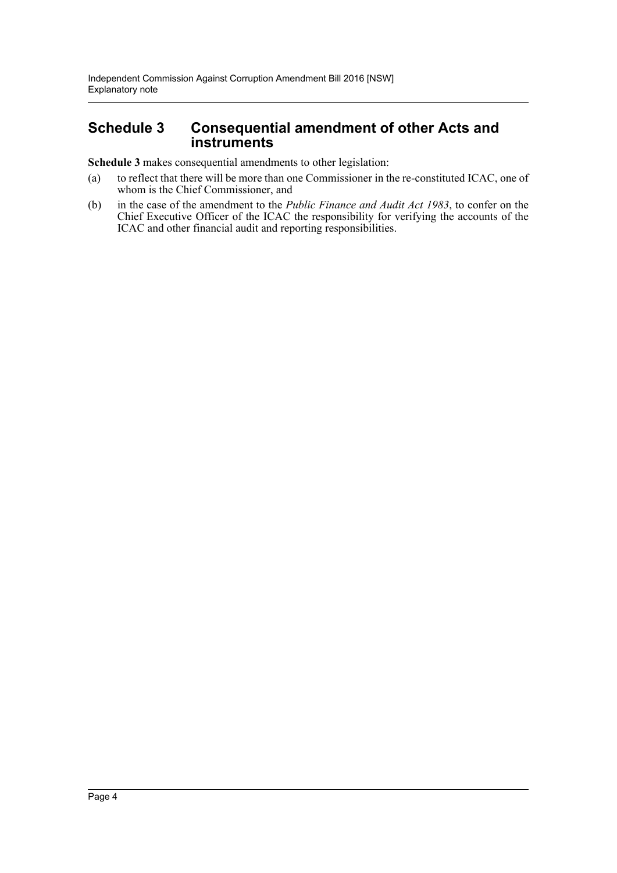## **Schedule 3 Consequential amendment of other Acts and instruments**

**Schedule 3** makes consequential amendments to other legislation:

- (a) to reflect that there will be more than one Commissioner in the re-constituted ICAC, one of whom is the Chief Commissioner, and
- (b) in the case of the amendment to the *Public Finance and Audit Act 1983*, to confer on the Chief Executive Officer of the ICAC the responsibility for verifying the accounts of the ICAC and other financial audit and reporting responsibilities.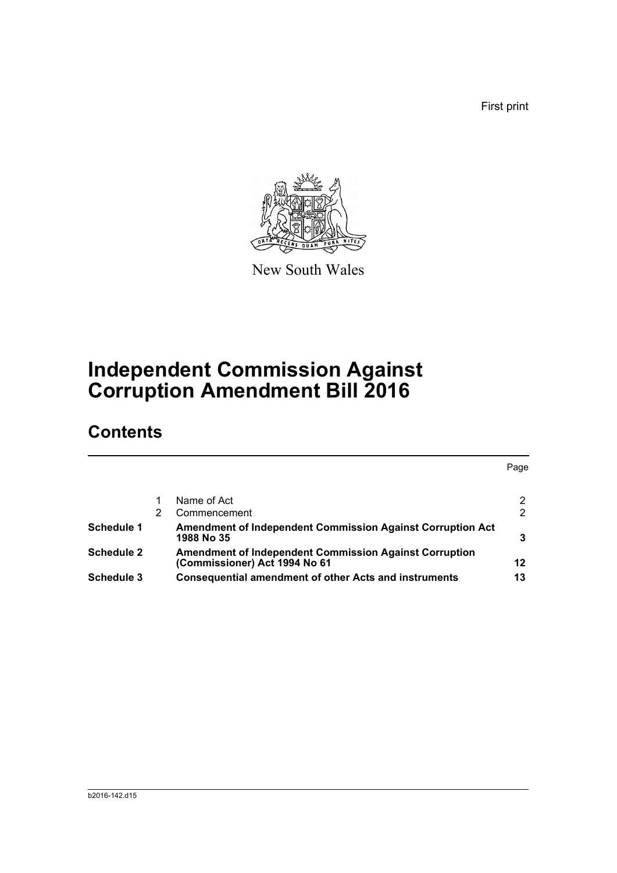First print



New South Wales

# **Independent Commission Against Corruption Amendment Bill 2016**

## **Contents**

|                   |   |                                                                                                | Page |
|-------------------|---|------------------------------------------------------------------------------------------------|------|
|                   |   | Name of Act                                                                                    |      |
|                   | 2 | Commencement                                                                                   | 2    |
| Schedule 1        |   | Amendment of Independent Commission Against Corruption Act<br>1988 No 35                       |      |
| <b>Schedule 2</b> |   | <b>Amendment of Independent Commission Against Corruption</b><br>(Commissioner) Act 1994 No 61 | 12   |
| Schedule 3        |   | <b>Consequential amendment of other Acts and instruments</b>                                   | 13   |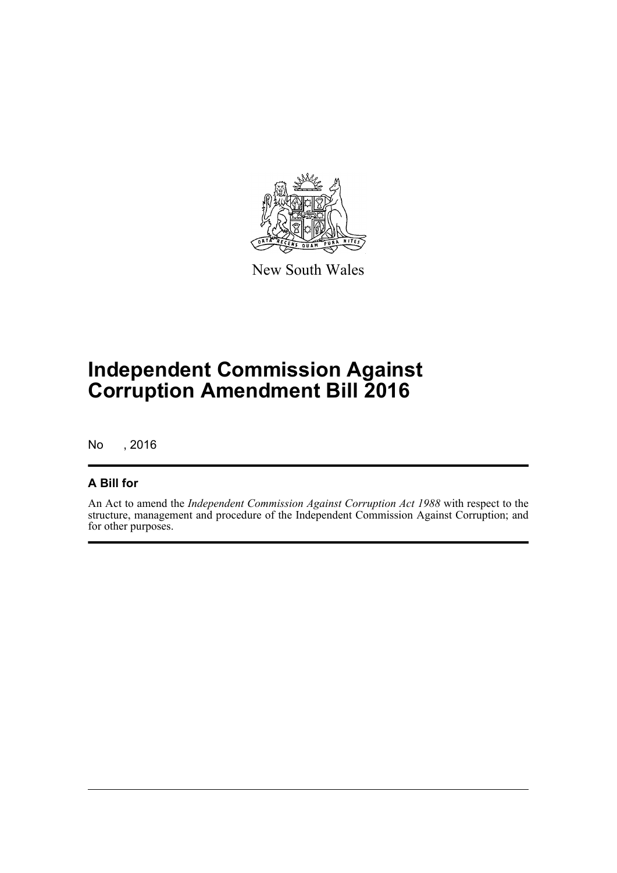

New South Wales

# **Independent Commission Against Corruption Amendment Bill 2016**

No , 2016

## **A Bill for**

An Act to amend the *Independent Commission Against Corruption Act 1988* with respect to the structure, management and procedure of the Independent Commission Against Corruption; and for other purposes.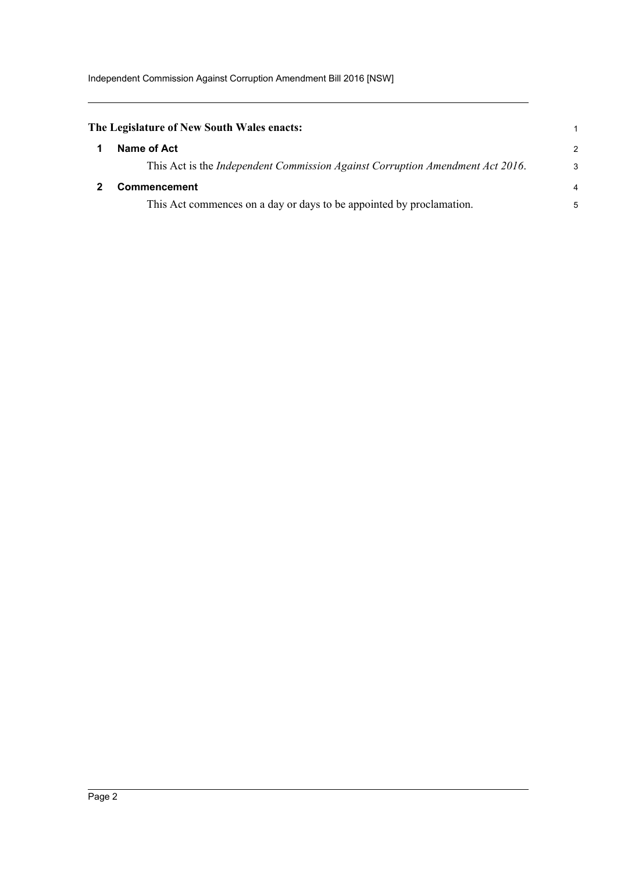<span id="page-6-1"></span><span id="page-6-0"></span>

| The Legislature of New South Wales enacts:                                            | 1              |
|---------------------------------------------------------------------------------------|----------------|
| Name of Act                                                                           | $\mathcal{P}$  |
| This Act is the <i>Independent Commission Against Corruption Amendment Act 2016</i> . | 3              |
| <b>Commencement</b>                                                                   | $\overline{4}$ |
| This Act commences on a day or days to be appointed by proclamation.                  | 5              |
|                                                                                       |                |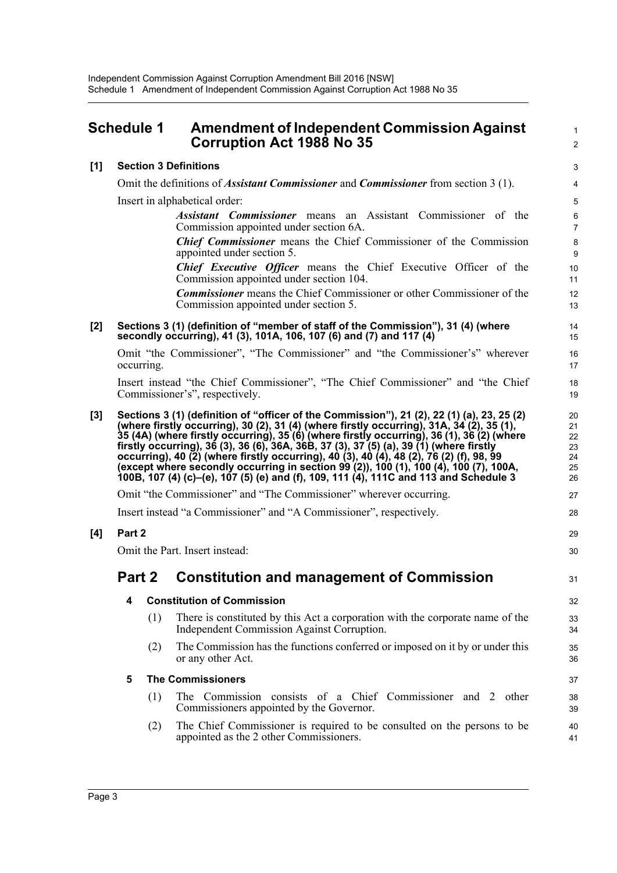<span id="page-7-0"></span>

|       | <b>Schedule 1</b>                                                   |     | <b>Amendment of Independent Commission Against</b><br><b>Corruption Act 1988 No 35</b>                                                                                                                                                                                                                                                                                                                                                                                                                                                                                                                                                                         | $\mathbf{1}$<br>$\overline{c}$         |  |
|-------|---------------------------------------------------------------------|-----|----------------------------------------------------------------------------------------------------------------------------------------------------------------------------------------------------------------------------------------------------------------------------------------------------------------------------------------------------------------------------------------------------------------------------------------------------------------------------------------------------------------------------------------------------------------------------------------------------------------------------------------------------------------|----------------------------------------|--|
| $[1]$ |                                                                     |     | <b>Section 3 Definitions</b>                                                                                                                                                                                                                                                                                                                                                                                                                                                                                                                                                                                                                                   | 3                                      |  |
|       |                                                                     |     | Omit the definitions of <i>Assistant Commissioner</i> and <i>Commissioner</i> from section 3 (1).                                                                                                                                                                                                                                                                                                                                                                                                                                                                                                                                                              | $\overline{\mathbf{4}}$                |  |
|       |                                                                     |     | Insert in alphabetical order:                                                                                                                                                                                                                                                                                                                                                                                                                                                                                                                                                                                                                                  | $\overline{5}$                         |  |
|       |                                                                     |     | <b>Assistant Commissioner</b> means an Assistant Commissioner of the<br>Commission appointed under section 6A.                                                                                                                                                                                                                                                                                                                                                                                                                                                                                                                                                 | 6<br>$\overline{7}$                    |  |
|       |                                                                     |     | <b>Chief Commissioner</b> means the Chief Commissioner of the Commission<br>appointed under section 5.                                                                                                                                                                                                                                                                                                                                                                                                                                                                                                                                                         | $\bf 8$<br>9                           |  |
|       |                                                                     |     | <b>Chief Executive Officer</b> means the Chief Executive Officer of the<br>Commission appointed under section 104.                                                                                                                                                                                                                                                                                                                                                                                                                                                                                                                                             | 10<br>11                               |  |
|       |                                                                     |     | <b>Commissioner</b> means the Chief Commissioner or other Commissioner of the<br>Commission appointed under section 5.                                                                                                                                                                                                                                                                                                                                                                                                                                                                                                                                         | 12<br>13                               |  |
| $[2]$ |                                                                     |     | Sections 3 (1) (definition of "member of staff of the Commission"), 31 (4) (where<br>secondly occurring), 41 (3), 101A, 106, 107 (6) and (7) and 117 (4)                                                                                                                                                                                                                                                                                                                                                                                                                                                                                                       | 14<br>15                               |  |
|       | occurring.                                                          |     | Omit "the Commissioner", "The Commissioner" and "the Commissioner's" wherever                                                                                                                                                                                                                                                                                                                                                                                                                                                                                                                                                                                  | 16<br>17                               |  |
|       |                                                                     |     | Insert instead "the Chief Commissioner", "The Chief Commissioner" and "the Chief<br>Commissioner's", respectively.                                                                                                                                                                                                                                                                                                                                                                                                                                                                                                                                             | 18<br>19                               |  |
| [3]   |                                                                     |     | Sections 3 (1) (definition of "officer of the Commission"), 21 (2), 22 (1) (a), 23, 25 (2)<br>(where firstly occurring), 30 (2), 31 (4) (where firstly occurring), 31A, 34 (2), 35 (1),<br>35 (4A) (where firstly occurring), 35 (6) (where firstly occurring), 36 (1), 36 (2) (where<br>firstly occurring), 36 (3), 36 (6), 36A, 36B, 37 (3), 37 (5) (a), 39 (1) (where firstly<br>occurring), 40 (2) (where firstly occurring), 40 (3), 40 (4), 48 (2), 76 (2) (f), 98, 99<br>(except where secondly occurring in section 99 (2)), 100 (1), 100 (4), 100 (7), 100A,<br>100B, 107 (4) (c)-(e), 107 (5) (e) and (f), 109, 111 (4), 111C and 113 and Schedule 3 | 20<br>21<br>22<br>23<br>24<br>25<br>26 |  |
|       |                                                                     |     | Omit "the Commissioner" and "The Commissioner" wherever occurring.                                                                                                                                                                                                                                                                                                                                                                                                                                                                                                                                                                                             | 27                                     |  |
|       | Insert instead "a Commissioner" and "A Commissioner", respectively. |     |                                                                                                                                                                                                                                                                                                                                                                                                                                                                                                                                                                                                                                                                |                                        |  |
| [4]   | Part 2                                                              |     |                                                                                                                                                                                                                                                                                                                                                                                                                                                                                                                                                                                                                                                                |                                        |  |
|       | Omit the Part. Insert instead:<br>30                                |     |                                                                                                                                                                                                                                                                                                                                                                                                                                                                                                                                                                                                                                                                |                                        |  |
|       | Part 2                                                              |     | <b>Constitution and management of Commission</b>                                                                                                                                                                                                                                                                                                                                                                                                                                                                                                                                                                                                               | 31                                     |  |
|       | 4                                                                   |     | <b>Constitution of Commission</b>                                                                                                                                                                                                                                                                                                                                                                                                                                                                                                                                                                                                                              | 32                                     |  |
|       |                                                                     | (1) | There is constituted by this Act a corporation with the corporate name of the<br>Independent Commission Against Corruption.                                                                                                                                                                                                                                                                                                                                                                                                                                                                                                                                    | 33<br>34                               |  |
|       |                                                                     | (2) | The Commission has the functions conferred or imposed on it by or under this<br>or any other Act.                                                                                                                                                                                                                                                                                                                                                                                                                                                                                                                                                              | 35<br>36                               |  |
|       | 5                                                                   |     | <b>The Commissioners</b>                                                                                                                                                                                                                                                                                                                                                                                                                                                                                                                                                                                                                                       | 37                                     |  |
|       |                                                                     | (1) | The Commission consists of a Chief Commissioner and 2 other<br>Commissioners appointed by the Governor.                                                                                                                                                                                                                                                                                                                                                                                                                                                                                                                                                        | 38<br>39                               |  |
|       |                                                                     | (2) | The Chief Commissioner is required to be consulted on the persons to be<br>appointed as the 2 other Commissioners.                                                                                                                                                                                                                                                                                                                                                                                                                                                                                                                                             | 40<br>41                               |  |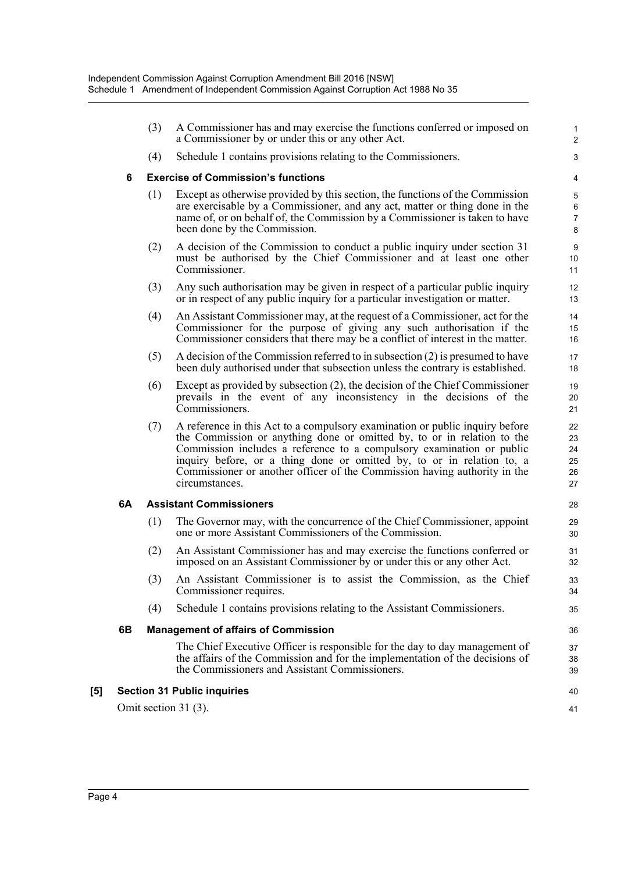|     |    | (3) | A Commissioner has and may exercise the functions conferred or imposed on<br>a Commissioner by or under this or any other Act.                                                                                                                                                                                                                                                                            | 1<br>$\overline{2}$                 |
|-----|----|-----|-----------------------------------------------------------------------------------------------------------------------------------------------------------------------------------------------------------------------------------------------------------------------------------------------------------------------------------------------------------------------------------------------------------|-------------------------------------|
|     |    | (4) | Schedule 1 contains provisions relating to the Commissioners.                                                                                                                                                                                                                                                                                                                                             | 3                                   |
|     | 6  |     | <b>Exercise of Commission's functions</b>                                                                                                                                                                                                                                                                                                                                                                 | 4                                   |
|     |    | (1) | Except as otherwise provided by this section, the functions of the Commission<br>are exercisable by a Commissioner, and any act, matter or thing done in the<br>name of, or on behalf of, the Commission by a Commissioner is taken to have<br>been done by the Commission.                                                                                                                               | 5<br>$\,6\,$<br>$\overline{7}$<br>8 |
|     |    | (2) | A decision of the Commission to conduct a public inquiry under section 31<br>must be authorised by the Chief Commissioner and at least one other<br>Commissioner.                                                                                                                                                                                                                                         | 9<br>10<br>11                       |
|     |    | (3) | Any such authorisation may be given in respect of a particular public inquiry<br>or in respect of any public inquiry for a particular investigation or matter.                                                                                                                                                                                                                                            | 12<br>13                            |
|     |    | (4) | An Assistant Commissioner may, at the request of a Commissioner, act for the<br>Commissioner for the purpose of giving any such authorisation if the<br>Commissioner considers that there may be a conflict of interest in the matter.                                                                                                                                                                    | 14<br>15<br>16                      |
|     |    | (5) | A decision of the Commission referred to in subsection $(2)$ is presumed to have<br>been duly authorised under that subsection unless the contrary is established.                                                                                                                                                                                                                                        | 17<br>18                            |
|     |    | (6) | Except as provided by subsection (2), the decision of the Chief Commissioner<br>prevails in the event of any inconsistency in the decisions of the<br>Commissioners.                                                                                                                                                                                                                                      | 19<br>20<br>21                      |
|     |    | (7) | A reference in this Act to a compulsory examination or public inquiry before<br>the Commission or anything done or omitted by, to or in relation to the<br>Commission includes a reference to a compulsory examination or public<br>inquiry before, or a thing done or omitted by, to or in relation to, a<br>Commissioner or another officer of the Commission having authority in the<br>circumstances. | 22<br>23<br>24<br>25<br>26<br>27    |
|     | 6A |     | <b>Assistant Commissioners</b>                                                                                                                                                                                                                                                                                                                                                                            | 28                                  |
|     |    | (1) | The Governor may, with the concurrence of the Chief Commissioner, appoint<br>one or more Assistant Commissioners of the Commission.                                                                                                                                                                                                                                                                       | 29<br>30                            |
|     |    | (2) | An Assistant Commissioner has and may exercise the functions conferred or<br>imposed on an Assistant Commissioner by or under this or any other Act.                                                                                                                                                                                                                                                      | 31<br>32                            |
|     |    | (3) | An Assistant Commissioner is to assist the Commission, as the Chief<br>Commissioner requires.                                                                                                                                                                                                                                                                                                             | 33<br>34                            |
|     |    | (4) | Schedule 1 contains provisions relating to the Assistant Commissioners.                                                                                                                                                                                                                                                                                                                                   | 35                                  |
|     | 6B |     | <b>Management of affairs of Commission</b>                                                                                                                                                                                                                                                                                                                                                                | 36                                  |
|     |    |     | The Chief Executive Officer is responsible for the day to day management of<br>the affairs of the Commission and for the implementation of the decisions of<br>the Commissioners and Assistant Commissioners.                                                                                                                                                                                             | 37<br>38<br>39                      |
| [5] |    |     | <b>Section 31 Public inquiries</b>                                                                                                                                                                                                                                                                                                                                                                        | 40                                  |
|     |    |     | Omit section 31 (3).                                                                                                                                                                                                                                                                                                                                                                                      | 41                                  |
|     |    |     |                                                                                                                                                                                                                                                                                                                                                                                                           |                                     |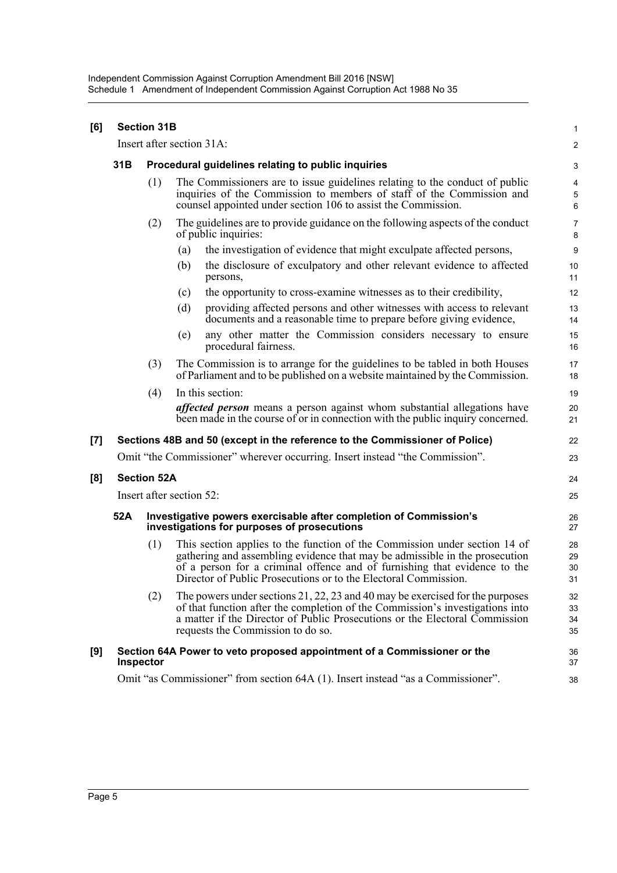| [6]                                                                                                                                                                                                                                                                                                                                                                                                                                                                                                    |     | <b>Section 31B</b> |                                                                                                                                                                                                                                                                                                           | 1                        |
|--------------------------------------------------------------------------------------------------------------------------------------------------------------------------------------------------------------------------------------------------------------------------------------------------------------------------------------------------------------------------------------------------------------------------------------------------------------------------------------------------------|-----|--------------------|-----------------------------------------------------------------------------------------------------------------------------------------------------------------------------------------------------------------------------------------------------------------------------------------------------------|--------------------------|
|                                                                                                                                                                                                                                                                                                                                                                                                                                                                                                        |     |                    | Insert after section 31A:                                                                                                                                                                                                                                                                                 | $\overline{\mathbf{c}}$  |
|                                                                                                                                                                                                                                                                                                                                                                                                                                                                                                        | 31B |                    | Procedural guidelines relating to public inquiries                                                                                                                                                                                                                                                        | 3                        |
|                                                                                                                                                                                                                                                                                                                                                                                                                                                                                                        |     | (1)                | The Commissioners are to issue guidelines relating to the conduct of public<br>inquiries of the Commission to members of staff of the Commission and<br>counsel appointed under section 106 to assist the Commission.                                                                                     | 4<br>$\overline{5}$<br>6 |
|                                                                                                                                                                                                                                                                                                                                                                                                                                                                                                        |     | (2)                | The guidelines are to provide guidance on the following aspects of the conduct<br>of public inquiries:                                                                                                                                                                                                    | $\overline{7}$<br>8      |
|                                                                                                                                                                                                                                                                                                                                                                                                                                                                                                        |     |                    | the investigation of evidence that might exculpate affected persons,<br>(a)                                                                                                                                                                                                                               | 9                        |
|                                                                                                                                                                                                                                                                                                                                                                                                                                                                                                        |     |                    | the disclosure of exculpatory and other relevant evidence to affected<br>(b)<br>persons,                                                                                                                                                                                                                  | 10<br>11                 |
|                                                                                                                                                                                                                                                                                                                                                                                                                                                                                                        |     |                    | the opportunity to cross-examine witnesses as to their credibility,<br>(c)                                                                                                                                                                                                                                | 12                       |
|                                                                                                                                                                                                                                                                                                                                                                                                                                                                                                        |     |                    | (d)<br>providing affected persons and other witnesses with access to relevant<br>documents and a reasonable time to prepare before giving evidence,                                                                                                                                                       | 13<br>14                 |
|                                                                                                                                                                                                                                                                                                                                                                                                                                                                                                        |     |                    | any other matter the Commission considers necessary to ensure<br>(e)<br>procedural fairness.                                                                                                                                                                                                              | 15<br>16                 |
|                                                                                                                                                                                                                                                                                                                                                                                                                                                                                                        |     | (3)                | The Commission is to arrange for the guidelines to be tabled in both Houses<br>of Parliament and to be published on a website maintained by the Commission.                                                                                                                                               | 17<br>18                 |
|                                                                                                                                                                                                                                                                                                                                                                                                                                                                                                        |     | (4)                | In this section:                                                                                                                                                                                                                                                                                          | 19                       |
|                                                                                                                                                                                                                                                                                                                                                                                                                                                                                                        |     |                    | <i>affected person</i> means a person against whom substantial allegations have<br>been made in the course of or in connection with the public inquiry concerned.                                                                                                                                         | 20<br>21                 |
| $[7] \centering% \includegraphics[width=1\textwidth]{images/TransY.pdf} \caption{The first two different values of $d=3$ and $d=4$ (left) and $d=5$ (right) and $d=6$ (right) and $d=6$ (right) and $d=6$ (right) and $d=6$ (right) and $d=6$ (right) and $d=6$ (right) and $d=6$ (right) and $d=6$ (right) and $d=6$ (right) and $d=6$ (right) and $d=6$ (right) and $d=6$ (right) and $d=6$ (right) and $d=6$ (right) and $d=6$ (right) and $d=6$ (right) and $d=6$ (right) and $d=6$ (right) and $$ |     |                    | Sections 48B and 50 (except in the reference to the Commissioner of Police)                                                                                                                                                                                                                               | 22                       |
|                                                                                                                                                                                                                                                                                                                                                                                                                                                                                                        |     |                    | Omit "the Commissioner" wherever occurring. Insert instead "the Commission".                                                                                                                                                                                                                              | 23                       |
| [8]                                                                                                                                                                                                                                                                                                                                                                                                                                                                                                    |     | <b>Section 52A</b> |                                                                                                                                                                                                                                                                                                           | 24                       |
|                                                                                                                                                                                                                                                                                                                                                                                                                                                                                                        |     |                    | Insert after section 52:                                                                                                                                                                                                                                                                                  | 25                       |
|                                                                                                                                                                                                                                                                                                                                                                                                                                                                                                        | 52A |                    | Investigative powers exercisable after completion of Commission's<br>investigations for purposes of prosecutions                                                                                                                                                                                          | 26<br>27                 |
|                                                                                                                                                                                                                                                                                                                                                                                                                                                                                                        |     | (1)                | This section applies to the function of the Commission under section 14 of<br>gathering and assembling evidence that may be admissible in the prosecution<br>of a person for a criminal offence and of furnishing that evidence to the<br>Director of Public Prosecutions or to the Electoral Commission. | 28<br>29<br>30<br>31     |
|                                                                                                                                                                                                                                                                                                                                                                                                                                                                                                        |     | (2)                | The powers under sections $21, 22, 23$ and 40 may be exercised for the purposes<br>of that function after the completion of the Commission's investigations into<br>a matter if the Director of Public Prosecutions or the Electoral Commission<br>requests the Commission to do so.                      | 32<br>33<br>34<br>35     |
| [9]                                                                                                                                                                                                                                                                                                                                                                                                                                                                                                    |     | Inspector          | Section 64A Power to veto proposed appointment of a Commissioner or the                                                                                                                                                                                                                                   | 36<br>37                 |
|                                                                                                                                                                                                                                                                                                                                                                                                                                                                                                        |     |                    | Omit "as Commissioner" from section 64A (1). Insert instead "as a Commissioner".                                                                                                                                                                                                                          | 38                       |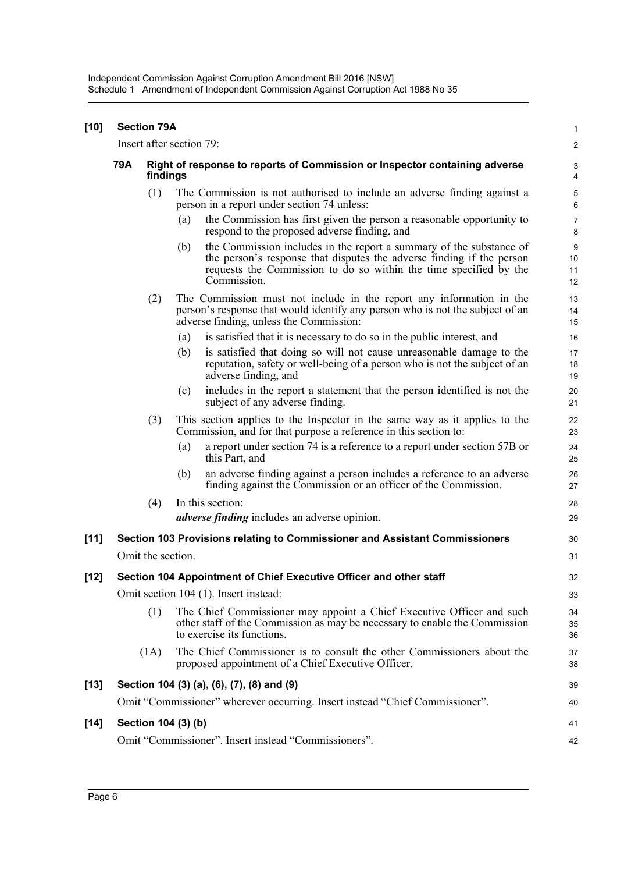| [10]   |     | <b>Section 79A</b>                                                                     |     |                                                                                                                                                                                                                                  | $\mathbf{1}$                       |
|--------|-----|----------------------------------------------------------------------------------------|-----|----------------------------------------------------------------------------------------------------------------------------------------------------------------------------------------------------------------------------------|------------------------------------|
|        |     | Insert after section 79:                                                               |     |                                                                                                                                                                                                                                  | $\overline{\mathbf{c}}$            |
|        | 79A | Right of response to reports of Commission or Inspector containing adverse<br>findings |     |                                                                                                                                                                                                                                  | $\ensuremath{\mathsf{3}}$<br>4     |
|        |     | (1)                                                                                    |     | The Commission is not authorised to include an adverse finding against a<br>person in a report under section 74 unless:                                                                                                          | $\mathbf 5$<br>6                   |
|        |     |                                                                                        | (a) | the Commission has first given the person a reasonable opportunity to<br>respond to the proposed adverse finding, and                                                                                                            | $\overline{7}$<br>8                |
|        |     |                                                                                        | (b) | the Commission includes in the report a summary of the substance of<br>the person's response that disputes the adverse finding if the person<br>requests the Commission to do so within the time specified by the<br>Commission. | $\boldsymbol{9}$<br>10<br>11<br>12 |
|        |     | (2)                                                                                    |     | The Commission must not include in the report any information in the<br>person's response that would identify any person who is not the subject of an<br>adverse finding, unless the Commission:                                 | 13<br>14<br>15                     |
|        |     |                                                                                        | (a) | is satisfied that it is necessary to do so in the public interest, and                                                                                                                                                           | 16                                 |
|        |     |                                                                                        | (b) | is satisfied that doing so will not cause unreasonable damage to the<br>reputation, safety or well-being of a person who is not the subject of an<br>adverse finding, and                                                        | 17<br>18<br>19                     |
|        |     |                                                                                        | (c) | includes in the report a statement that the person identified is not the<br>subject of any adverse finding.                                                                                                                      | 20<br>21                           |
|        |     | (3)                                                                                    |     | This section applies to the Inspector in the same way as it applies to the<br>Commission, and for that purpose a reference in this section to:                                                                                   | 22<br>23                           |
|        |     |                                                                                        | (a) | a report under section 74 is a reference to a report under section 57B or<br>this Part, and                                                                                                                                      | 24<br>25                           |
|        |     |                                                                                        | (b) | an adverse finding against a person includes a reference to an adverse<br>finding against the Commission or an officer of the Commission.                                                                                        | 26<br>27                           |
|        |     | (4)                                                                                    |     | In this section:                                                                                                                                                                                                                 | 28                                 |
|        |     |                                                                                        |     | <i>adverse finding</i> includes an adverse opinion.                                                                                                                                                                              | 29                                 |
| $[11]$ |     |                                                                                        |     | Section 103 Provisions relating to Commissioner and Assistant Commissioners                                                                                                                                                      | 30                                 |
|        |     | Omit the section.                                                                      |     |                                                                                                                                                                                                                                  | 31                                 |
| $[12]$ |     |                                                                                        |     | Section 104 Appointment of Chief Executive Officer and other staff                                                                                                                                                               | 32                                 |
|        |     |                                                                                        |     | Omit section 104 (1). Insert instead:                                                                                                                                                                                            | 33                                 |
|        |     | (1)                                                                                    |     | The Chief Commissioner may appoint a Chief Executive Officer and such<br>other staff of the Commission as may be necessary to enable the Commission<br>to exercise its functions.                                                | 34<br>35<br>36                     |
|        |     | (1A)                                                                                   |     | The Chief Commissioner is to consult the other Commissioners about the<br>proposed appointment of a Chief Executive Officer.                                                                                                     | 37<br>38                           |
| [13]   |     |                                                                                        |     | Section 104 (3) (a), (6), (7), (8) and (9)                                                                                                                                                                                       | 39                                 |
|        |     |                                                                                        |     | Omit "Commissioner" wherever occurring. Insert instead "Chief Commissioner".                                                                                                                                                     | 40                                 |
| $[14]$ |     | Section 104 (3) (b)                                                                    |     |                                                                                                                                                                                                                                  | 41                                 |
|        |     |                                                                                        |     | Omit "Commissioner". Insert instead "Commissioners".                                                                                                                                                                             | 42                                 |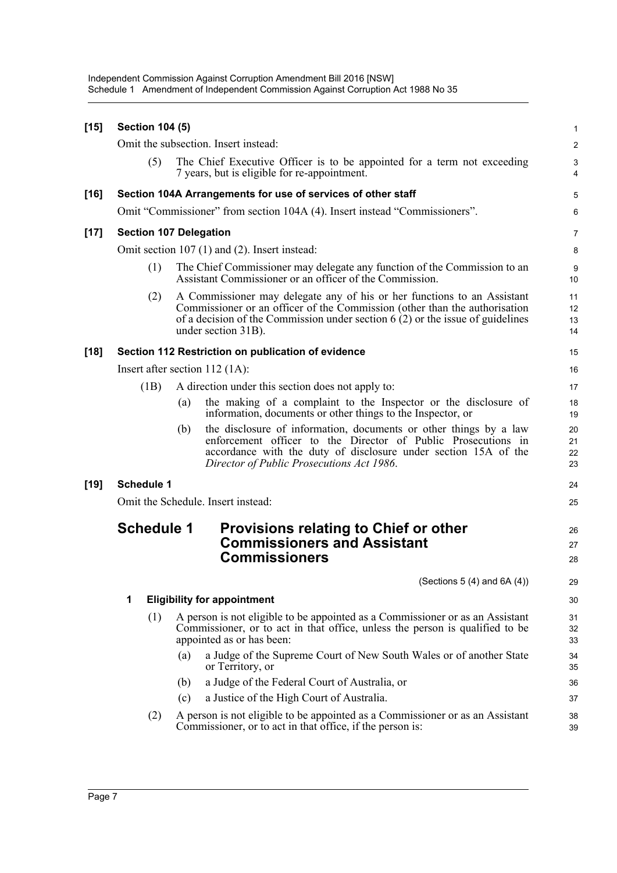| $[15]$ | <b>Section 104 (5)</b> |                                                                                                                                                                                                                                                                 | 1                       |
|--------|------------------------|-----------------------------------------------------------------------------------------------------------------------------------------------------------------------------------------------------------------------------------------------------------------|-------------------------|
|        |                        | Omit the subsection. Insert instead:                                                                                                                                                                                                                            | $\overline{\mathbf{c}}$ |
|        | (5)                    | The Chief Executive Officer is to be appointed for a term not exceeding<br>7 years, but is eligible for re-appointment.                                                                                                                                         | 3<br>4                  |
| $[16]$ |                        | Section 104A Arrangements for use of services of other staff                                                                                                                                                                                                    | 5                       |
|        |                        | Omit "Commissioner" from section 104A (4). Insert instead "Commissioners".                                                                                                                                                                                      | 6                       |
| $[17]$ |                        | <b>Section 107 Delegation</b>                                                                                                                                                                                                                                   | 7                       |
|        |                        | Omit section 107 (1) and (2). Insert instead:                                                                                                                                                                                                                   | 8                       |
|        | (1)                    | The Chief Commissioner may delegate any function of the Commission to an<br>Assistant Commissioner or an officer of the Commission.                                                                                                                             | 9<br>10                 |
|        | (2)                    | A Commissioner may delegate any of his or her functions to an Assistant<br>Commissioner or an officer of the Commission (other than the authorisation<br>of a decision of the Commission under section $6(2)$ or the issue of guidelines<br>under section 31B). | 11<br>12<br>13<br>14    |
| $[18]$ |                        | Section 112 Restriction on publication of evidence                                                                                                                                                                                                              | 15                      |
|        |                        | Insert after section $112$ (1A):                                                                                                                                                                                                                                | 16                      |
|        | (1B)                   | A direction under this section does not apply to:                                                                                                                                                                                                               | 17                      |
|        |                        | the making of a complaint to the Inspector or the disclosure of<br>(a)<br>information, documents or other things to the Inspector, or                                                                                                                           | 18<br>19                |
|        |                        | the disclosure of information, documents or other things by a law<br>(b)<br>enforcement officer to the Director of Public Prosecutions in<br>accordance with the duty of disclosure under section 15A of the<br>Director of Public Prosecutions Act 1986.       | 20<br>21<br>22<br>23    |
| $[19]$ | <b>Schedule 1</b>      |                                                                                                                                                                                                                                                                 | 24                      |
|        |                        | Omit the Schedule. Insert instead:                                                                                                                                                                                                                              | 25                      |
|        | <b>Schedule 1</b>      | Provisions relating to Chief or other<br><b>Commissioners and Assistant</b><br><b>Commissioners</b>                                                                                                                                                             | 26<br>27<br>28          |
|        |                        | (Sections $5(4)$ and $6A(4)$ )                                                                                                                                                                                                                                  | 29                      |
|        | 1                      | <b>Eligibility for appointment</b>                                                                                                                                                                                                                              | 30                      |
|        | (1)                    | A person is not eligible to be appointed as a Commissioner or as an Assistant<br>Commissioner, or to act in that office, unless the person is qualified to be<br>appointed as or has been:                                                                      | 31<br>32<br>33          |
|        |                        | (a)<br>a Judge of the Supreme Court of New South Wales or of another State<br>or Territory, or                                                                                                                                                                  | 34<br>35                |
|        |                        | a Judge of the Federal Court of Australia, or<br>(b)                                                                                                                                                                                                            | 36                      |
|        |                        | a Justice of the High Court of Australia.<br>(c)                                                                                                                                                                                                                | 37                      |
|        | (2)                    | A person is not eligible to be appointed as a Commissioner or as an Assistant<br>Commissioner, or to act in that office, if the person is:                                                                                                                      | 38<br>39                |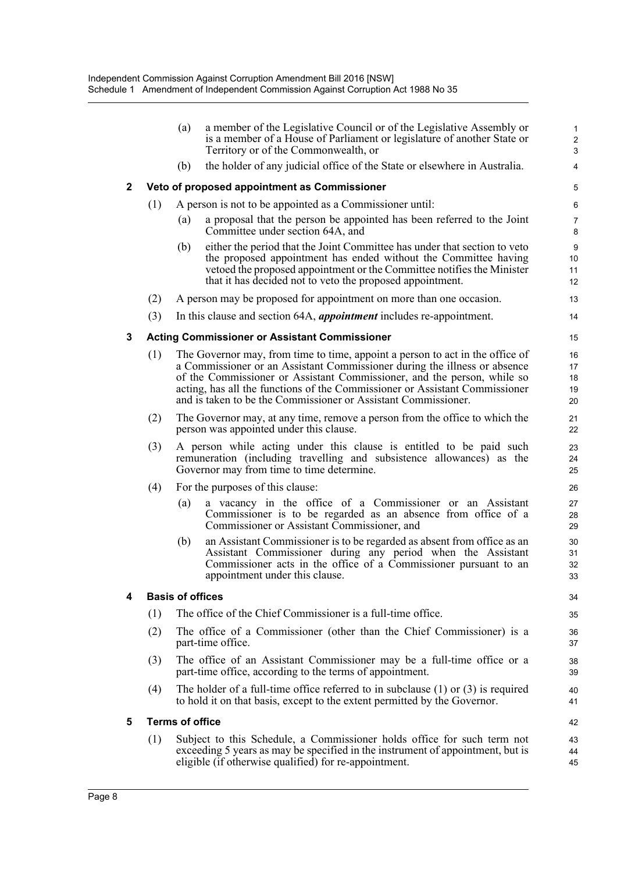|   |     | (a)                     | a member of the Legislative Council or of the Legislative Assembly or<br>is a member of a House of Parliament or legislature of another State or                                                                                                                                                                                                                                       | $\mathbf{1}$<br>$\overline{c}$     |
|---|-----|-------------------------|----------------------------------------------------------------------------------------------------------------------------------------------------------------------------------------------------------------------------------------------------------------------------------------------------------------------------------------------------------------------------------------|------------------------------------|
|   |     |                         | Territory or of the Commonwealth, or                                                                                                                                                                                                                                                                                                                                                   | 3                                  |
|   |     | (b)                     | the holder of any judicial office of the State or elsewhere in Australia.                                                                                                                                                                                                                                                                                                              | 4                                  |
| 2 |     |                         | Veto of proposed appointment as Commissioner                                                                                                                                                                                                                                                                                                                                           | 5                                  |
|   | (1) |                         | A person is not to be appointed as a Commissioner until:                                                                                                                                                                                                                                                                                                                               | 6                                  |
|   |     | (a)                     | a proposal that the person be appointed has been referred to the Joint<br>Committee under section 64A, and                                                                                                                                                                                                                                                                             | $\overline{7}$<br>8                |
|   |     | (b)                     | either the period that the Joint Committee has under that section to veto<br>the proposed appointment has ended without the Committee having<br>vetoed the proposed appointment or the Committee notifies the Minister<br>that it has decided not to veto the proposed appointment.                                                                                                    | $\boldsymbol{9}$<br>10<br>11<br>12 |
|   | (2) |                         | A person may be proposed for appointment on more than one occasion.                                                                                                                                                                                                                                                                                                                    | 13                                 |
|   | (3) |                         | In this clause and section 64A, <i>appointment</i> includes re-appointment.                                                                                                                                                                                                                                                                                                            | 14                                 |
| 3 |     |                         | <b>Acting Commissioner or Assistant Commissioner</b>                                                                                                                                                                                                                                                                                                                                   | 15                                 |
|   | (1) |                         | The Governor may, from time to time, appoint a person to act in the office of<br>a Commissioner or an Assistant Commissioner during the illness or absence<br>of the Commissioner or Assistant Commissioner, and the person, while so<br>acting, has all the functions of the Commissioner or Assistant Commissioner<br>and is taken to be the Commissioner or Assistant Commissioner. | 16<br>17<br>18<br>19<br>20         |
|   | (2) |                         | The Governor may, at any time, remove a person from the office to which the<br>person was appointed under this clause.                                                                                                                                                                                                                                                                 | 21<br>22                           |
|   | (3) |                         | A person while acting under this clause is entitled to be paid such<br>remuneration (including travelling and subsistence allowances) as the<br>Governor may from time to time determine.                                                                                                                                                                                              | 23<br>24<br>25                     |
|   | (4) |                         | For the purposes of this clause:                                                                                                                                                                                                                                                                                                                                                       | 26                                 |
|   |     | (a)                     | a vacancy in the office of a Commissioner or an Assistant<br>Commissioner is to be regarded as an absence from office of a<br>Commissioner or Assistant Commissioner, and                                                                                                                                                                                                              | 27<br>28<br>29                     |
|   |     | (b)                     | an Assistant Commissioner is to be regarded as absent from office as an<br>Assistant Commissioner during any period when the Assistant<br>Commissioner acts in the office of a Commissioner pursuant to an<br>appointment under this clause.                                                                                                                                           | 30<br>31<br>32<br>33               |
| 4 |     | <b>Basis of offices</b> |                                                                                                                                                                                                                                                                                                                                                                                        | 34                                 |
|   | (1) |                         | The office of the Chief Commissioner is a full-time office.                                                                                                                                                                                                                                                                                                                            | 35                                 |
|   | (2) |                         | The office of a Commissioner (other than the Chief Commissioner) is a<br>part-time office.                                                                                                                                                                                                                                                                                             | 36<br>37                           |
|   | (3) |                         | The office of an Assistant Commissioner may be a full-time office or a<br>part-time office, according to the terms of appointment.                                                                                                                                                                                                                                                     | 38<br>39                           |
|   | (4) |                         | The holder of a full-time office referred to in subclause $(1)$ or $(3)$ is required<br>to hold it on that basis, except to the extent permitted by the Governor.                                                                                                                                                                                                                      | 40<br>41                           |
| 5 |     | <b>Terms of office</b>  |                                                                                                                                                                                                                                                                                                                                                                                        | 42                                 |
|   | (1) |                         | Subject to this Schedule, a Commissioner holds office for such term not<br>exceeding 5 years as may be specified in the instrument of appointment, but is<br>eligible (if otherwise qualified) for re-appointment.                                                                                                                                                                     | 43<br>44<br>45                     |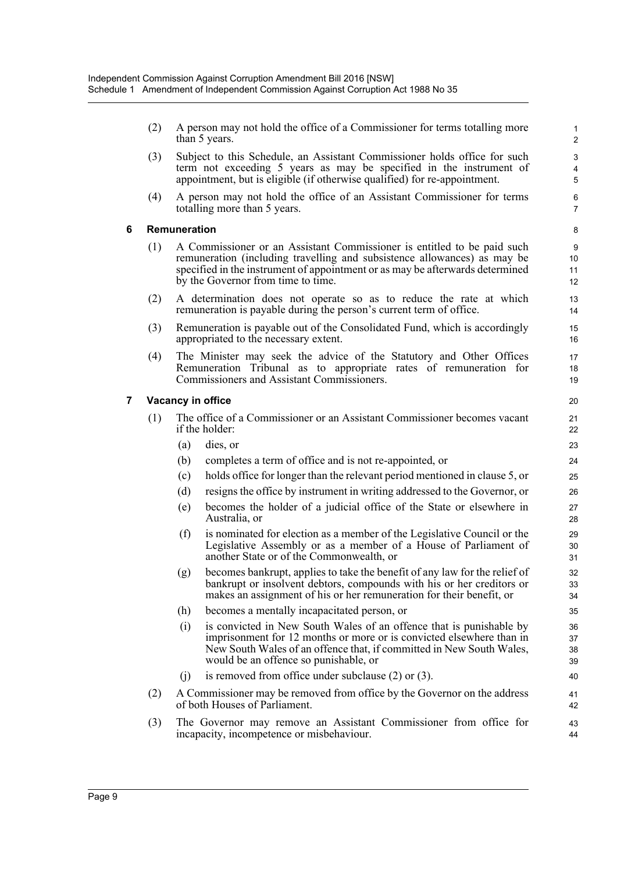(2) A person may not hold the office of a Commissioner for terms totalling more than 5 years.

- (3) Subject to this Schedule, an Assistant Commissioner holds office for such term not exceeding 5 years as may be specified in the instrument of appointment, but is eligible (if otherwise qualified) for re-appointment.
- (4) A person may not hold the office of an Assistant Commissioner for terms totalling more than 5 years.

#### **6 Remuneration**

- (1) A Commissioner or an Assistant Commissioner is entitled to be paid such remuneration (including travelling and subsistence allowances) as may be specified in the instrument of appointment or as may be afterwards determined by the Governor from time to time.
- (2) A determination does not operate so as to reduce the rate at which remuneration is payable during the person's current term of office.
- (3) Remuneration is payable out of the Consolidated Fund, which is accordingly appropriated to the necessary extent.
- (4) The Minister may seek the advice of the Statutory and Other Offices Remuneration Tribunal as to appropriate rates of remuneration for Commissioners and Assistant Commissioners.

### **7 Vacancy in office**

- (1) The office of a Commissioner or an Assistant Commissioner becomes vacant if the holder:
	- (a) dies, or
	- (b) completes a term of office and is not re-appointed, or
	- (c) holds office for longer than the relevant period mentioned in clause 5, or
	- (d) resigns the office by instrument in writing addressed to the Governor, or
	- (e) becomes the holder of a judicial office of the State or elsewhere in Australia, or
	- (f) is nominated for election as a member of the Legislative Council or the Legislative Assembly or as a member of a House of Parliament of another State or of the Commonwealth, or
	- (g) becomes bankrupt, applies to take the benefit of any law for the relief of bankrupt or insolvent debtors, compounds with his or her creditors or makes an assignment of his or her remuneration for their benefit, or
	- (h) becomes a mentally incapacitated person, or
	- (i) is convicted in New South Wales of an offence that is punishable by imprisonment for 12 months or more or is convicted elsewhere than in New South Wales of an offence that, if committed in New South Wales, would be an offence so punishable, or
	- (j) is removed from office under subclause (2) or (3).
- (2) A Commissioner may be removed from office by the Governor on the address of both Houses of Parliament.
- (3) The Governor may remove an Assistant Commissioner from office for incapacity, incompetence or misbehaviour.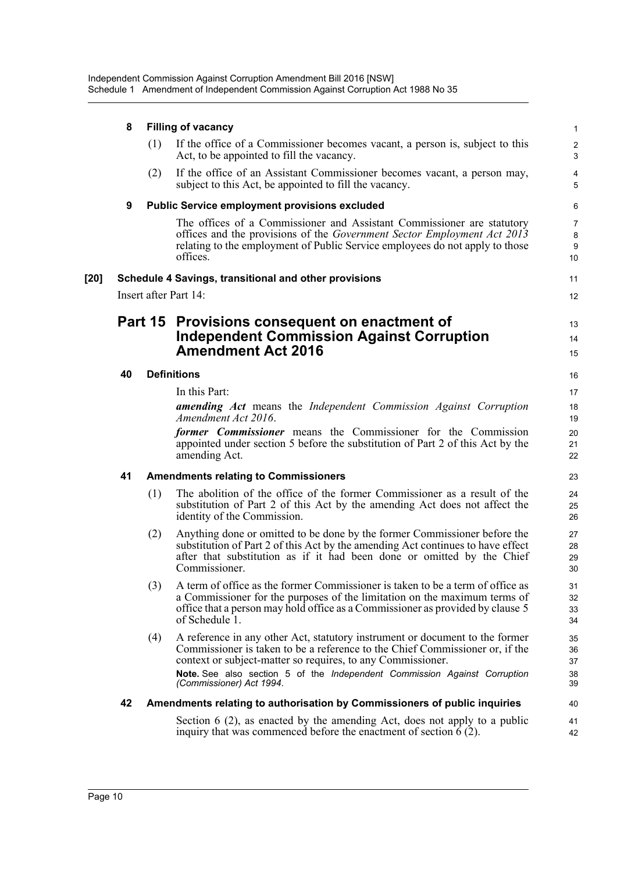|      | 8  |         | <b>Filling of vacancy</b>                                                                                                                                                                                                                                       | $\mathbf{1}$                   |
|------|----|---------|-----------------------------------------------------------------------------------------------------------------------------------------------------------------------------------------------------------------------------------------------------------------|--------------------------------|
|      |    | (1)     | If the office of a Commissioner becomes vacant, a person is, subject to this<br>Act, to be appointed to fill the vacancy.                                                                                                                                       | $\overline{2}$<br>3            |
|      |    | (2)     | If the office of an Assistant Commissioner becomes vacant, a person may,<br>subject to this Act, be appointed to fill the vacancy.                                                                                                                              | 4<br>5                         |
|      | 9  |         | <b>Public Service employment provisions excluded</b>                                                                                                                                                                                                            | 6                              |
|      |    |         | The offices of a Commissioner and Assistant Commissioner are statutory<br>offices and the provisions of the <i>Government Sector Employment Act 2013</i><br>relating to the employment of Public Service employees do not apply to those<br>offices.            | $\overline{7}$<br>8<br>9<br>10 |
| [20] |    |         | Schedule 4 Savings, transitional and other provisions                                                                                                                                                                                                           | 11                             |
|      |    |         | Insert after Part 14:                                                                                                                                                                                                                                           | 12                             |
|      |    | Part 15 | Provisions consequent on enactment of                                                                                                                                                                                                                           | 13                             |
|      |    |         | <b>Independent Commission Against Corruption</b>                                                                                                                                                                                                                | 14                             |
|      |    |         | <b>Amendment Act 2016</b>                                                                                                                                                                                                                                       | 15                             |
|      | 40 |         | <b>Definitions</b>                                                                                                                                                                                                                                              | 16                             |
|      |    |         | In this Part:                                                                                                                                                                                                                                                   | 17                             |
|      |    |         | amending Act means the Independent Commission Against Corruption<br>Amendment Act 2016.                                                                                                                                                                         | 18<br>19                       |
|      |    |         | former Commissioner means the Commissioner for the Commission<br>appointed under section 5 before the substitution of Part 2 of this Act by the<br>amending Act.                                                                                                | 20<br>21<br>22                 |
|      | 41 |         | <b>Amendments relating to Commissioners</b>                                                                                                                                                                                                                     | 23                             |
|      |    | (1)     | The abolition of the office of the former Commissioner as a result of the<br>substitution of Part 2 of this Act by the amending Act does not affect the<br>identity of the Commission.                                                                          | 24<br>25<br>26                 |
|      |    | (2)     | Anything done or omitted to be done by the former Commissioner before the<br>substitution of Part 2 of this Act by the amending Act continues to have effect<br>after that substitution as if it had been done or omitted by the Chief<br>Commissioner.         | 27<br>28<br>29<br>30           |
|      |    | (3)     | A term of office as the former Commissioner is taken to be a term of office as<br>a Commissioner for the purposes of the limitation on the maximum terms of<br>office that a person may hold office as a Commissioner as provided by clause 5<br>of Schedule 1. | 31<br>32<br>33<br>34           |
|      |    | (4)     | A reference in any other Act, statutory instrument or document to the former<br>Commissioner is taken to be a reference to the Chief Commissioner or, if the                                                                                                    | 35<br>36                       |

Commissioner is taken to be a reference to the Chief Commissioner or, if the context or subject-matter so requires, to any Commissioner. **Note.** See also section 5 of the *Independent Commission Against Corruption (Commissioner) Act 1994*.

#### **42 Amendments relating to authorisation by Commissioners of public inquiries**

Section 6 (2), as enacted by the amending Act, does not apply to a public inquiry that was commenced before the enactment of section  $\hat{6}$  (2).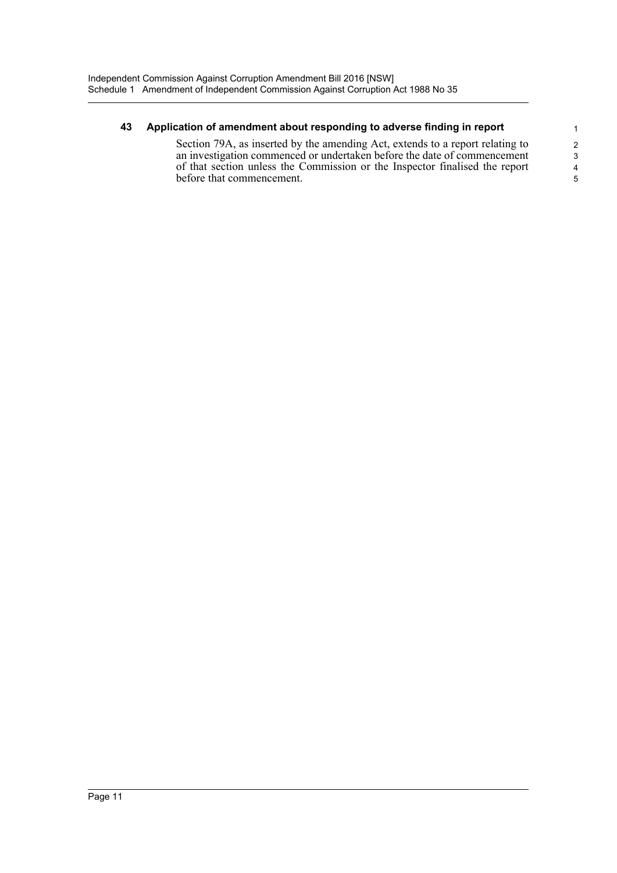### **43 Application of amendment about responding to adverse finding in report**

Section 79A, as inserted by the amending Act, extends to a report relating to an investigation commenced or undertaken before the date of commencement of that section unless the Commission or the Inspector finalised the report before that commencement.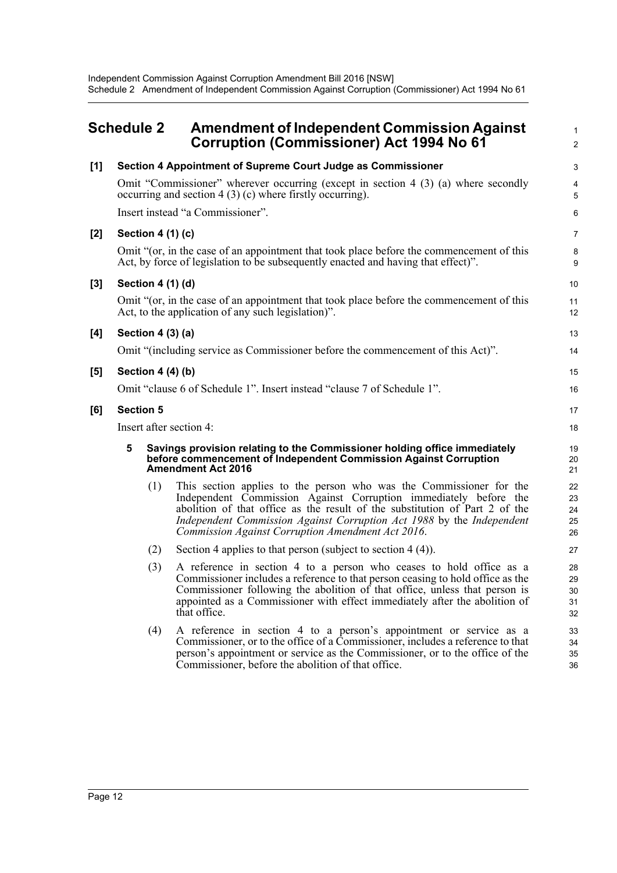## <span id="page-16-0"></span>**Schedule 2 Amendment of Independent Commission Against Corruption (Commissioner) Act 1994 No 61**

1 2

| [1] |   |                   | Section 4 Appointment of Supreme Court Judge as Commissioner                                                                                                                                                                                                                                                                                         | $\mathbf{3}$               |
|-----|---|-------------------|------------------------------------------------------------------------------------------------------------------------------------------------------------------------------------------------------------------------------------------------------------------------------------------------------------------------------------------------------|----------------------------|
|     |   |                   | Omit "Commissioner" wherever occurring (except in section 4 (3) (a) where secondly<br>occurring and section $4(3)(c)$ where firstly occurring).                                                                                                                                                                                                      | 4<br>5                     |
|     |   |                   | Insert instead "a Commissioner".                                                                                                                                                                                                                                                                                                                     | 6                          |
| [2] |   | Section 4 (1) (c) |                                                                                                                                                                                                                                                                                                                                                      | 7                          |
|     |   |                   | Omit "(or, in the case of an appointment that took place before the commencement of this<br>Act, by force of legislation to be subsequently enacted and having that effect)".                                                                                                                                                                        | 8<br>9                     |
| [3] |   | Section 4 (1) (d) |                                                                                                                                                                                                                                                                                                                                                      | 10                         |
|     |   |                   | Omit "(or, in the case of an appointment that took place before the commencement of this<br>Act, to the application of any such legislation)".                                                                                                                                                                                                       | 11<br>12                   |
| [4] |   | Section 4 (3) (a) |                                                                                                                                                                                                                                                                                                                                                      | 13                         |
|     |   |                   | Omit "(including service as Commissioner before the commencement of this Act)".                                                                                                                                                                                                                                                                      | 14                         |
| [5] |   | Section $4(4)(b)$ |                                                                                                                                                                                                                                                                                                                                                      | 15                         |
|     |   |                   | Omit "clause 6 of Schedule 1". Insert instead "clause 7 of Schedule 1".                                                                                                                                                                                                                                                                              | 16                         |
| [6] |   | <b>Section 5</b>  |                                                                                                                                                                                                                                                                                                                                                      | 17                         |
|     |   |                   | Insert after section 4:                                                                                                                                                                                                                                                                                                                              | 18                         |
|     | 5 |                   | Savings provision relating to the Commissioner holding office immediately<br>before commencement of Independent Commission Against Corruption<br><b>Amendment Act 2016</b>                                                                                                                                                                           | 19<br>20<br>21             |
|     |   | (1)               | This section applies to the person who was the Commissioner for the<br>Independent Commission Against Corruption immediately before the<br>abolition of that office as the result of the substitution of Part 2 of the<br>Independent Commission Against Corruption Act 1988 by the Independent<br>Commission Against Corruption Amendment Act 2016. | 22<br>23<br>24<br>25<br>26 |
|     |   | (2)               | Section 4 applies to that person (subject to section $4(4)$ ).                                                                                                                                                                                                                                                                                       | 27                         |
|     |   | (3)               | A reference in section 4 to a person who ceases to hold office as a<br>Commissioner includes a reference to that person ceasing to hold office as the<br>Commissioner following the abolition of that office, unless that person is<br>appointed as a Commissioner with effect immediately after the abolition of<br>that office.                    | 28<br>29<br>30<br>31<br>32 |
|     |   | (4)               | A reference in section 4 to a person's appointment or service as a<br>Commissioner, or to the office of a Commissioner, includes a reference to that<br>person's appointment or service as the Commissioner, or to the office of the<br>Commissioner, before the abolition of that office.                                                           | 33<br>34<br>35<br>36       |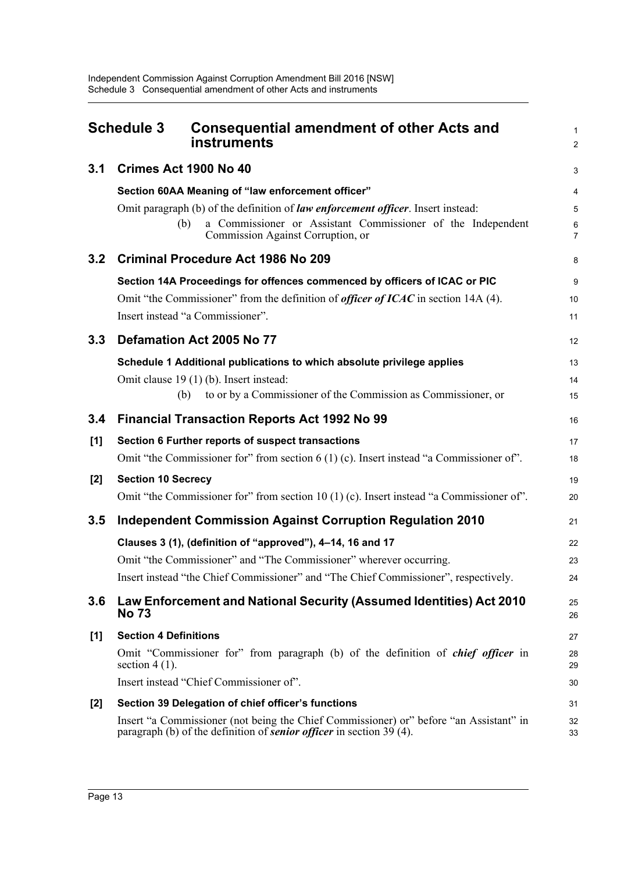<span id="page-17-0"></span>

|       | <b>Schedule 3</b><br><b>Consequential amendment of other Acts and</b><br>instruments                                                                                  | $\mathbf{1}$<br>$\overline{2}$ |
|-------|-----------------------------------------------------------------------------------------------------------------------------------------------------------------------|--------------------------------|
| 3.1   | Crimes Act 1900 No 40                                                                                                                                                 | $\mathsf 3$                    |
|       | Section 60AA Meaning of "law enforcement officer"                                                                                                                     | 4                              |
|       | Omit paragraph (b) of the definition of law enforcement officer. Insert instead:                                                                                      | 5                              |
|       | a Commissioner or Assistant Commissioner of the Independent<br>(b)<br>Commission Against Corruption, or                                                               | 6<br>$\overline{7}$            |
| 3.2   | <b>Criminal Procedure Act 1986 No 209</b>                                                                                                                             | 8                              |
|       | Section 14A Proceedings for offences commenced by officers of ICAC or PIC                                                                                             | 9                              |
|       | Omit "the Commissioner" from the definition of <i>officer of ICAC</i> in section 14A (4).                                                                             | 10                             |
|       | Insert instead "a Commissioner".                                                                                                                                      | 11                             |
| 3.3   | Defamation Act 2005 No 77                                                                                                                                             | 12                             |
|       | Schedule 1 Additional publications to which absolute privilege applies                                                                                                | 13                             |
|       | Omit clause 19 (1) (b). Insert instead:                                                                                                                               | 14                             |
|       | to or by a Commissioner of the Commission as Commissioner, or<br>(b)                                                                                                  | 15                             |
| 3.4   | <b>Financial Transaction Reports Act 1992 No 99</b>                                                                                                                   | 16                             |
| [1]   | Section 6 Further reports of suspect transactions                                                                                                                     | 17                             |
|       | Omit "the Commissioner for" from section $6(1)(c)$ . Insert instead "a Commissioner of".                                                                              | 18                             |
| $[2]$ | <b>Section 10 Secrecy</b>                                                                                                                                             | 19                             |
|       | Omit "the Commissioner for" from section 10 (1) (c). Insert instead "a Commissioner of".                                                                              | 20                             |
| 3.5   | <b>Independent Commission Against Corruption Regulation 2010</b>                                                                                                      | 21                             |
|       | Clauses 3 (1), (definition of "approved"), 4-14, 16 and 17                                                                                                            | 22                             |
|       | Omit "the Commissioner" and "The Commissioner" wherever occurring.                                                                                                    | 23                             |
|       | Insert instead "the Chief Commissioner" and "The Chief Commissioner", respectively.                                                                                   | 24                             |
| 3.6   | Law Enforcement and National Security (Assumed Identities) Act 2010<br><b>No 73</b>                                                                                   | 25<br>26                       |
| [1]   | <b>Section 4 Definitions</b>                                                                                                                                          | 27                             |
|       | Omit "Commissioner for" from paragraph (b) of the definition of <i>chief officer</i> in<br>section $4(1)$ .                                                           | 28<br>29                       |
|       | Insert instead "Chief Commissioner of".                                                                                                                               | 30                             |
| $[2]$ | Section 39 Delegation of chief officer's functions                                                                                                                    | 31                             |
|       | Insert "a Commissioner (not being the Chief Commissioner) or" before "an Assistant" in<br>paragraph (b) of the definition of <b>senior officer</b> in section 39 (4). | 32<br>33                       |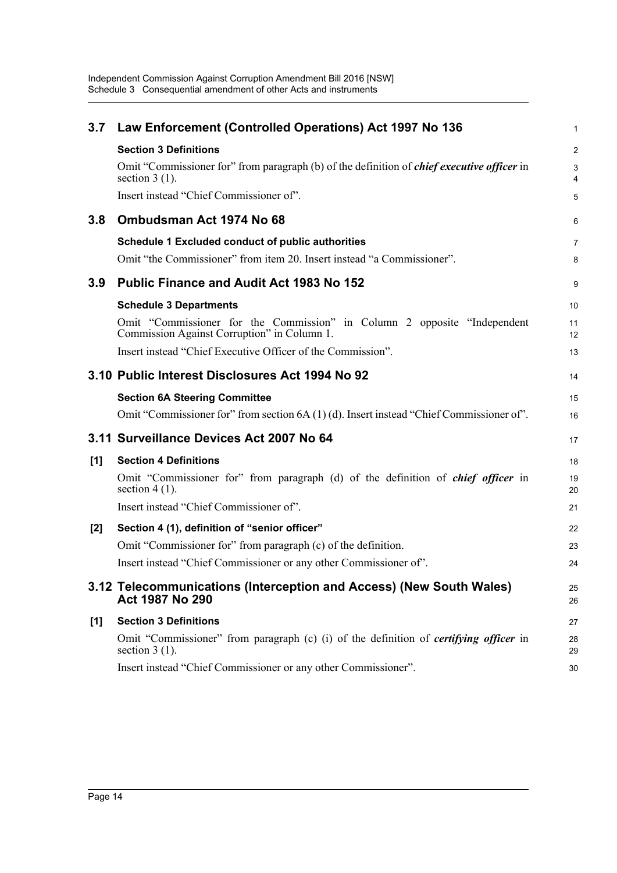| 3.7   | Law Enforcement (Controlled Operations) Act 1997 No 136                                                                  | 1              |
|-------|--------------------------------------------------------------------------------------------------------------------------|----------------|
|       | <b>Section 3 Definitions</b>                                                                                             | $\overline{a}$ |
|       | Omit "Commissioner for" from paragraph (b) of the definition of <i>chief executive officer</i> in<br>section $3(1)$ .    | 3<br>4         |
|       | Insert instead "Chief Commissioner of".                                                                                  | 5              |
| 3.8   | Ombudsman Act 1974 No 68                                                                                                 | 6              |
|       | Schedule 1 Excluded conduct of public authorities                                                                        | 7              |
|       | Omit "the Commissioner" from item 20. Insert instead "a Commissioner".                                                   | 8              |
| 3.9   | <b>Public Finance and Audit Act 1983 No 152</b>                                                                          | 9              |
|       | <b>Schedule 3 Departments</b>                                                                                            | 10             |
|       | Omit "Commissioner for the Commission" in Column 2 opposite "Independent"<br>Commission Against Corruption" in Column 1. | 11<br>12       |
|       | Insert instead "Chief Executive Officer of the Commission".                                                              | 13             |
|       | 3.10 Public Interest Disclosures Act 1994 No 92                                                                          | 14             |
|       | <b>Section 6A Steering Committee</b>                                                                                     | 15             |
|       | Omit "Commissioner for" from section $6A(1)(d)$ . Insert instead "Chief Commissioner of".                                | 16             |
|       | 3.11 Surveillance Devices Act 2007 No 64                                                                                 | 17             |
| [1]   | <b>Section 4 Definitions</b>                                                                                             | 18             |
|       | Omit "Commissioner for" from paragraph (d) of the definition of <i>chief officer</i> in<br>section $4(1)$ .              | 19<br>20       |
|       | Insert instead "Chief Commissioner of".                                                                                  | 21             |
| $[2]$ | Section 4 (1), definition of "senior officer"                                                                            | 22             |
|       | Omit "Commissioner for" from paragraph (c) of the definition.                                                            | 23             |
|       | Insert instead "Chief Commissioner or any other Commissioner of".                                                        | 24             |
|       | 3.12 Telecommunications (Interception and Access) (New South Wales)<br>Act 1987 No 290                                   | 25<br>26       |
| [1]   | <b>Section 3 Definitions</b>                                                                                             | 27             |
|       | Omit "Commissioner" from paragraph (c) (i) of the definition of <i>certifying officer</i> in<br>section $3(1)$ .         | 28<br>29       |
|       | Insert instead "Chief Commissioner or any other Commissioner".                                                           | 30             |